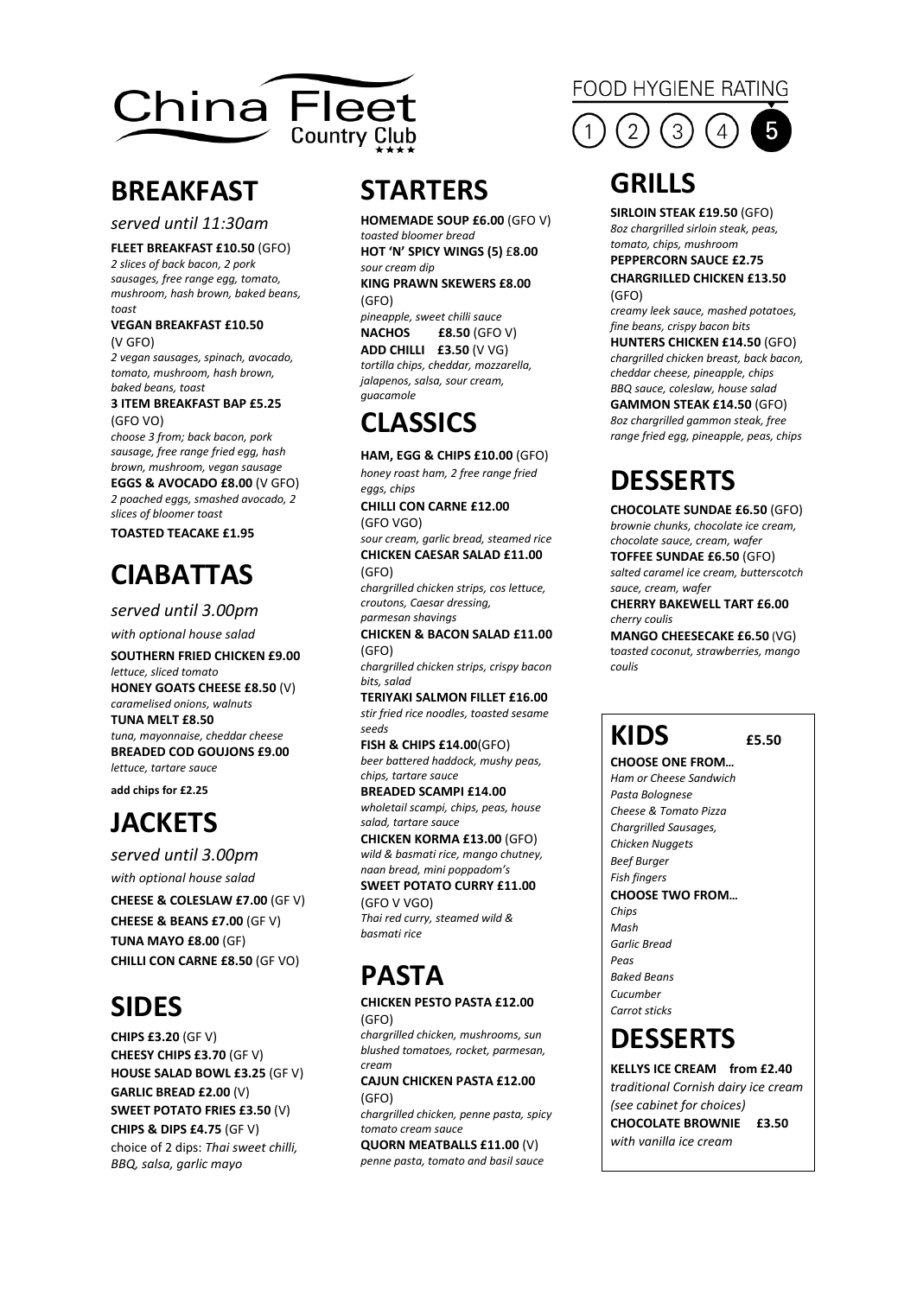

### **BREAKFAST**

*served until 11:30am*

**FLEET BREAKFAST £10.50** (GFO)

*2 slices of back bacon, 2 pork sausages, free range egg, tomato, mushroom, hash brown, baked beans, toast*

#### **VEGAN BREAKFAST £10.50**  (V GFO)

*2 vegan sausages, spinach, avocado, tomato, mushroom, hash brown, baked beans, toast*

#### **3 ITEM BREAKFAST BAP £5.25** (GFO VO)

*choose 3 from; back bacon, pork sausage, free range fried egg, hash brown, mushroom, vegan sausage* **EGGS & AVOCADO £8.00** (V GFO)

*2 poached eggs, smashed avocado, 2 slices of bloomer toast*

**TOASTED TEACAKE £1.95**

# **CIABATTAS**

*served until 3.00pm*

*with optional house salad* **SOUTHERN FRIED CHICKEN £9.00** *lettuce, sliced tomato* **HONEY GOATS CHEESE £8.50** (V) *caramelised onions, walnuts* **TUNA MELT £8.50** *tuna, mayonnaise, cheddar cheese* **BREADED COD GOUJONS £9.00** *lettuce, tartare sauce* **add chips for £2.25**

# **JACKETS**

*served until 3.00pm with optional house salad*

**CHEESE & COLESLAW £7.00** (GF V) **CHEESE & BEANS £7.00** (GF V) **TUNA MAYO £8.00** (GF) **CHILLI CON CARNE £8.50** (GF VO)

# **SIDES**

**CHIPS £3.20** (GF V) **CHEESY CHIPS £3.70** (GF V) **HOUSE SALAD BOWL £3.25** (GF V) **GARLIC BREAD £2.00** (V) **SWEET POTATO FRIES £3.50** (V) **CHIPS & DIPS £4.75** (GF V) choice of 2 dips: *Thai sweet chilli, BBQ, salsa, garlic mayo*

# **STARTERS**

**HOMEMADE SOUP £6.00** (GFO V) *toasted bloomer bread* **HOT 'N' SPICY WINGS (5)** £**8.00** 

*sour cream dip* **KING PRAWN SKEWERS £8.00**  (GFO)

*pineapple, sweet chilli sauce* **NACHOS £8.50** (GFO V) **ADD CHILLI £3.50** (V VG) *tortilla chips, cheddar, mozzarella, jalapenos, salsa, sour cream, guacamole*

# **CLASSICS**

**HAM, EGG & CHIPS £10.00** (GFO) *honey roast ham, 2 free range fried eggs, chips* **CHILLI CON CARNE £12.00**

(GFO VGO) *sour cream, garlic bread, steamed rice* **CHICKEN CAESAR SALAD £11.00** 

(GFO)

*chargrilled chicken strips, cos lettuce, croutons, Caesar dressing, parmesan shavings*

**CHICKEN & BACON SALAD £11.00**  (GFO)

*chargrilled chicken strips, crispy bacon bits, salad*

**TERIYAKI SALMON FILLET £16.00** *stir fried rice noodles, toasted sesame seeds*

**FISH & CHIPS £14.00**(GFO) *beer battered haddock, mushy peas, chips, tartare sauce*

**BREADED SCAMPI £14.00** *wholetail scampi, chips, peas, house salad, tartare sauce*

**CHICKEN KORMA £13.00** (GFO) *wild & basmati rice, mango chutney, naan bread, mini poppadom's*

**SWEET POTATO CURRY £11.00**  (GFO V VGO)

*Thai red curry, steamed wild & basmati rice*

# **PASTA**

#### **CHICKEN PESTO PASTA £12.00** (GFO)

*chargrilled chicken, mushrooms, sun blushed tomatoes, rocket, parmesan, cream*

#### **CAJUN CHICKEN PASTA £12.00** (GFO)

*chargrilled chicken, penne pasta, spicy tomato cream sauce*

**QUORN MEATBALLS £11.00** (V) *penne pasta, tomato and basil sauce*

### **FOOD HYGIENE RATING**



# **GRILLS**

**SIRLOIN STEAK £19.50** (GFO) *8oz chargrilled sirloin steak, peas, tomato, chips, mushroom*

### **PEPPERCORN SAUCE £2.75 CHARGRILLED CHICKEN £13.50**

(GFO) *creamy leek sauce, mashed potatoes, fine beans, crispy bacon bits*

**HUNTERS CHICKEN £14.50** (GFO) *chargrilled chicken breast, back bacon, cheddar cheese, pineapple, chips BBQ sauce, coleslaw, house salad* **GAMMON STEAK £14.50** (GFO) *8oz chargrilled gammon steak, free* 

*range fried egg, pineapple, peas, chips*

# **DESSERTS**

**CHOCOLATE SUNDAE £6.50** (GFO) *brownie chunks, chocolate ice cream, chocolate sauce, cream, wafer* **TOFFEE SUNDAE £6.50** (GFO)

*salted caramel ice cream, butterscotch sauce, cream, wafer*

**CHERRY BAKEWELL TART £6.00** *cherry coulis*

**MANGO CHEESECAKE £6.50** (VG) t*oasted coconut, strawberries, mango coulis*

# **KIDS £5.50**

**CHOOSE ONE FROM***… Ham or Cheese Sandwich Pasta Bolognese Cheese & Tomato Pizza Chargrilled Sausages, Chicken Nuggets Beef Burger Fish fingers* **CHOOSE TWO FROM***… Chips Mash Garlic Bread Peas Baked Beans Cucumber Carrot sticks*

# **DESSERTS**

**KELLYS ICE CREAM from £2.40** *traditional Cornish dairy ice cream (see cabinet for choices)* **CHOCOLATE BROWNIE £3.50**  *with vanilla ice cream*